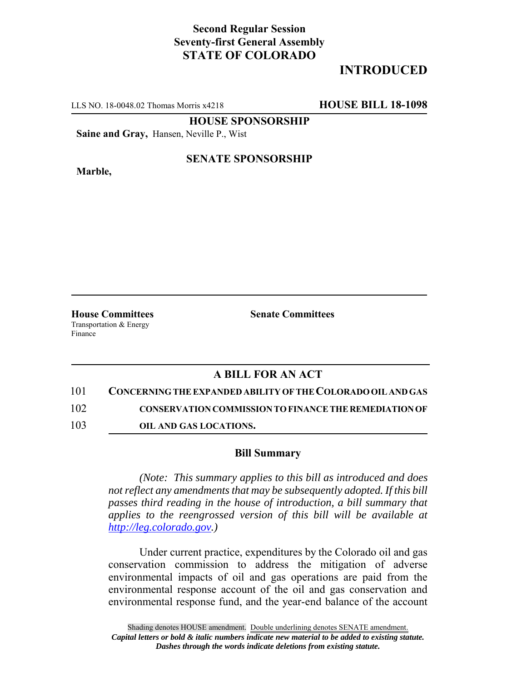## **Second Regular Session Seventy-first General Assembly STATE OF COLORADO**

# **INTRODUCED**

LLS NO. 18-0048.02 Thomas Morris x4218 **HOUSE BILL 18-1098**

**HOUSE SPONSORSHIP**

**Saine and Gray,** Hansen, Neville P., Wist

**Marble,**

### **SENATE SPONSORSHIP**

Transportation & Energy Finance

**House Committees Senate Committees**

### **A BILL FOR AN ACT**

#### 101 **CONCERNING THE EXPANDED ABILITY OF THE COLORADO OIL AND GAS**

102 **CONSERVATION COMMISSION TO FINANCE THE REMEDIATION OF**

103 **OIL AND GAS LOCATIONS.**

#### **Bill Summary**

*(Note: This summary applies to this bill as introduced and does not reflect any amendments that may be subsequently adopted. If this bill passes third reading in the house of introduction, a bill summary that applies to the reengrossed version of this bill will be available at http://leg.colorado.gov.)*

Under current practice, expenditures by the Colorado oil and gas conservation commission to address the mitigation of adverse environmental impacts of oil and gas operations are paid from the environmental response account of the oil and gas conservation and environmental response fund, and the year-end balance of the account